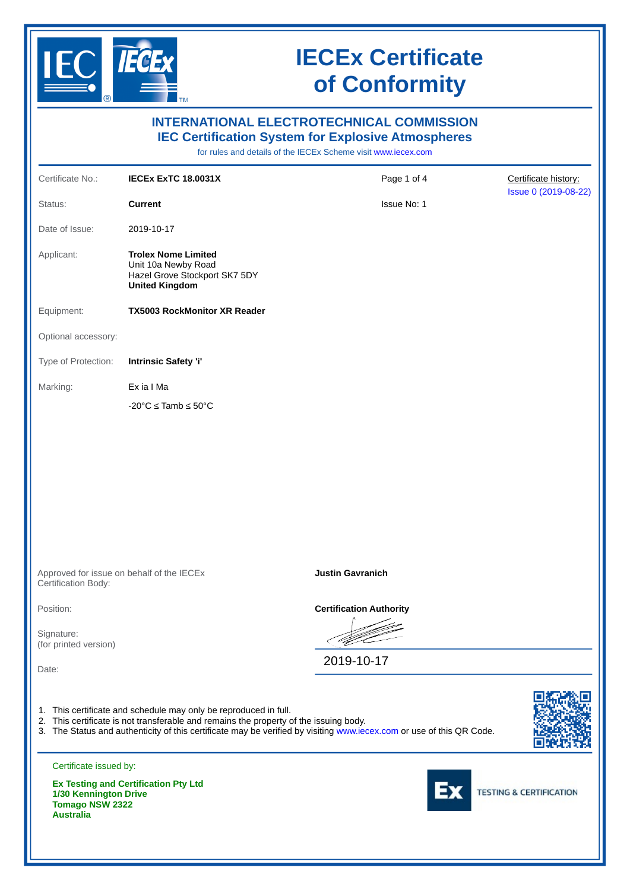

**Australia**

# **IECEx Certificate of Conformity**

| <b>INTERNATIONAL ELECTROTECHNICAL COMMISSION</b><br><b>IEC Certification System for Explosive Atmospheres</b><br>for rules and details of the IECEx Scheme visit www.iecex.com |                                                                                                                                                                                                                                                                                   |                                |                                    |  |  |
|--------------------------------------------------------------------------------------------------------------------------------------------------------------------------------|-----------------------------------------------------------------------------------------------------------------------------------------------------------------------------------------------------------------------------------------------------------------------------------|--------------------------------|------------------------------------|--|--|
| Certificate No.:                                                                                                                                                               | <b>IECEX EXTC 18.0031X</b>                                                                                                                                                                                                                                                        | Page 1 of 4                    | Certificate history:               |  |  |
| Status:                                                                                                                                                                        | <b>Current</b>                                                                                                                                                                                                                                                                    | Issue No: 1                    | Issue 0 (2019-08-22)               |  |  |
| Date of Issue:                                                                                                                                                                 | 2019-10-17                                                                                                                                                                                                                                                                        |                                |                                    |  |  |
| Applicant:                                                                                                                                                                     | <b>Trolex Nome Limited</b><br>Unit 10a Newby Road<br>Hazel Grove Stockport SK7 5DY<br><b>United Kingdom</b>                                                                                                                                                                       |                                |                                    |  |  |
| Equipment:                                                                                                                                                                     | <b>TX5003 RockMonitor XR Reader</b>                                                                                                                                                                                                                                               |                                |                                    |  |  |
| Optional accessory:                                                                                                                                                            |                                                                                                                                                                                                                                                                                   |                                |                                    |  |  |
| Type of Protection:                                                                                                                                                            | <b>Intrinsic Safety 'i'</b>                                                                                                                                                                                                                                                       |                                |                                    |  |  |
| Marking:                                                                                                                                                                       | Ex ia I Ma                                                                                                                                                                                                                                                                        |                                |                                    |  |  |
|                                                                                                                                                                                | $-20^{\circ}$ C $\leq$ Tamb $\leq$ 50°C                                                                                                                                                                                                                                           |                                |                                    |  |  |
|                                                                                                                                                                                |                                                                                                                                                                                                                                                                                   |                                |                                    |  |  |
| Approved for issue on behalf of the IECEx<br>Certification Body:                                                                                                               |                                                                                                                                                                                                                                                                                   | <b>Justin Gavranich</b>        |                                    |  |  |
| Position:                                                                                                                                                                      |                                                                                                                                                                                                                                                                                   | <b>Certification Authority</b> |                                    |  |  |
| Signature:<br>(for printed version)                                                                                                                                            |                                                                                                                                                                                                                                                                                   |                                |                                    |  |  |
| Date:                                                                                                                                                                          |                                                                                                                                                                                                                                                                                   | 2019-10-17                     |                                    |  |  |
|                                                                                                                                                                                | 1. This certificate and schedule may only be reproduced in full.<br>2. This certificate is not transferable and remains the property of the issuing body.<br>3. The Status and authenticity of this certificate may be verified by visiting www.iecex.com or use of this QR Code. |                                |                                    |  |  |
| Certificate issued by:                                                                                                                                                         |                                                                                                                                                                                                                                                                                   |                                |                                    |  |  |
| 1/30 Kennington Drive<br><b>Tomago NSW 2322</b>                                                                                                                                | <b>Ex Testing and Certification Pty Ltd</b>                                                                                                                                                                                                                                       |                                | <b>TESTING &amp; CERTIFICATION</b> |  |  |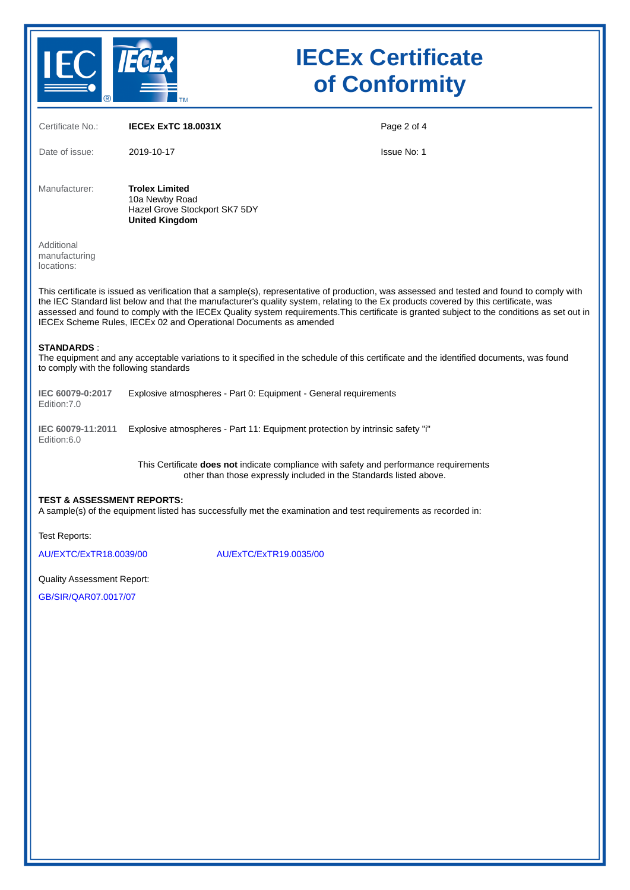

# **IECEx Certificate of Conformity**

| Certificate No.:                                                                                                                                                                                                                                                                                                                                                                                                                                                                                         | <b>IECEX EXTC 18.0031X</b>                                                                                                                                   | Page 2 of 4 |  |  |  |
|----------------------------------------------------------------------------------------------------------------------------------------------------------------------------------------------------------------------------------------------------------------------------------------------------------------------------------------------------------------------------------------------------------------------------------------------------------------------------------------------------------|--------------------------------------------------------------------------------------------------------------------------------------------------------------|-------------|--|--|--|
| Date of issue:                                                                                                                                                                                                                                                                                                                                                                                                                                                                                           | 2019-10-17                                                                                                                                                   | Issue No: 1 |  |  |  |
| Manufacturer:                                                                                                                                                                                                                                                                                                                                                                                                                                                                                            | <b>Trolex Limited</b><br>10a Newby Road<br>Hazel Grove Stockport SK7 5DY<br><b>United Kingdom</b>                                                            |             |  |  |  |
| Additional<br>manufacturing<br>locations:                                                                                                                                                                                                                                                                                                                                                                                                                                                                |                                                                                                                                                              |             |  |  |  |
| This certificate is issued as verification that a sample(s), representative of production, was assessed and tested and found to comply with<br>the IEC Standard list below and that the manufacturer's quality system, relating to the Ex products covered by this certificate, was<br>assessed and found to comply with the IECEx Quality system requirements. This certificate is granted subject to the conditions as set out in<br>IECEx Scheme Rules, IECEx 02 and Operational Documents as amended |                                                                                                                                                              |             |  |  |  |
| <b>STANDARDS:</b><br>to comply with the following standards                                                                                                                                                                                                                                                                                                                                                                                                                                              | The equipment and any acceptable variations to it specified in the schedule of this certificate and the identified documents, was found                      |             |  |  |  |
| IEC 60079-0:2017<br>Edition: 7.0                                                                                                                                                                                                                                                                                                                                                                                                                                                                         | Explosive atmospheres - Part 0: Equipment - General requirements                                                                                             |             |  |  |  |
| IEC 60079-11:2011<br>Edition:6.0                                                                                                                                                                                                                                                                                                                                                                                                                                                                         | Explosive atmospheres - Part 11: Equipment protection by intrinsic safety "i"                                                                                |             |  |  |  |
|                                                                                                                                                                                                                                                                                                                                                                                                                                                                                                          | This Certificate does not indicate compliance with safety and performance requirements<br>other than those expressly included in the Standards listed above. |             |  |  |  |
| <b>TEST &amp; ASSESSMENT REPORTS:</b><br>A sample(s) of the equipment listed has successfully met the examination and test requirements as recorded in:                                                                                                                                                                                                                                                                                                                                                  |                                                                                                                                                              |             |  |  |  |
| Test Reports:                                                                                                                                                                                                                                                                                                                                                                                                                                                                                            |                                                                                                                                                              |             |  |  |  |
| AU/EXTC/ExTR18.0039/00                                                                                                                                                                                                                                                                                                                                                                                                                                                                                   | AU/ExTC/ExTR19.0035/00                                                                                                                                       |             |  |  |  |
| <b>Quality Assessment Report:</b>                                                                                                                                                                                                                                                                                                                                                                                                                                                                        |                                                                                                                                                              |             |  |  |  |
| $CDICID/ODO7$ $OD17/07$                                                                                                                                                                                                                                                                                                                                                                                                                                                                                  |                                                                                                                                                              |             |  |  |  |

[GB/SIR/QAR07.0017/07](https://www.iecex-certs.com/deliverables/REPORT/52344/view)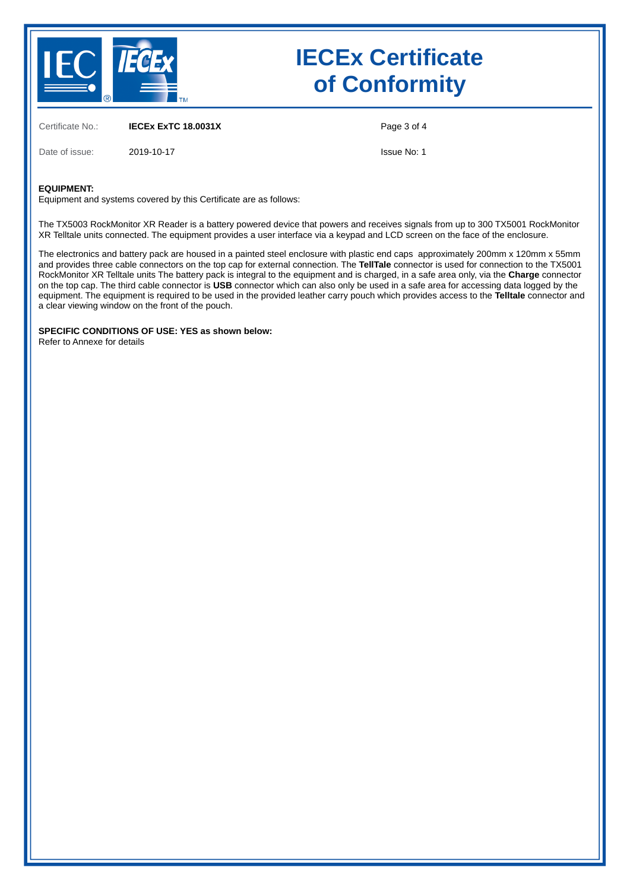

# **IECEx Certificate of Conformity**

Certificate No.: **IECEx ExTC 18.0031X**

Page 3 of 4

Date of issue: 2019-10-17

Issue No: 1

#### **EQUIPMENT:**

Equipment and systems covered by this Certificate are as follows:

The TX5003 RockMonitor XR Reader is a battery powered device that powers and receives signals from up to 300 TX5001 RockMonitor XR Telltale units connected. The equipment provides a user interface via a keypad and LCD screen on the face of the enclosure.

The electronics and battery pack are housed in a painted steel enclosure with plastic end caps approximately 200mm x 120mm x 55mm and provides three cable connectors on the top cap for external connection. The **TellTale** connector is used for connection to the TX5001 RockMonitor XR Telltale units The battery pack is integral to the equipment and is charged, in a safe area only, via the **Charge** connector on the top cap. The third cable connector is **USB** connector which can also only be used in a safe area for accessing data logged by the equipment. The equipment is required to be used in the provided leather carry pouch which provides access to the **Telltale** connector and a clear viewing window on the front of the pouch.

**SPECIFIC CONDITIONS OF USE: YES as shown below:** Refer to Annexe for details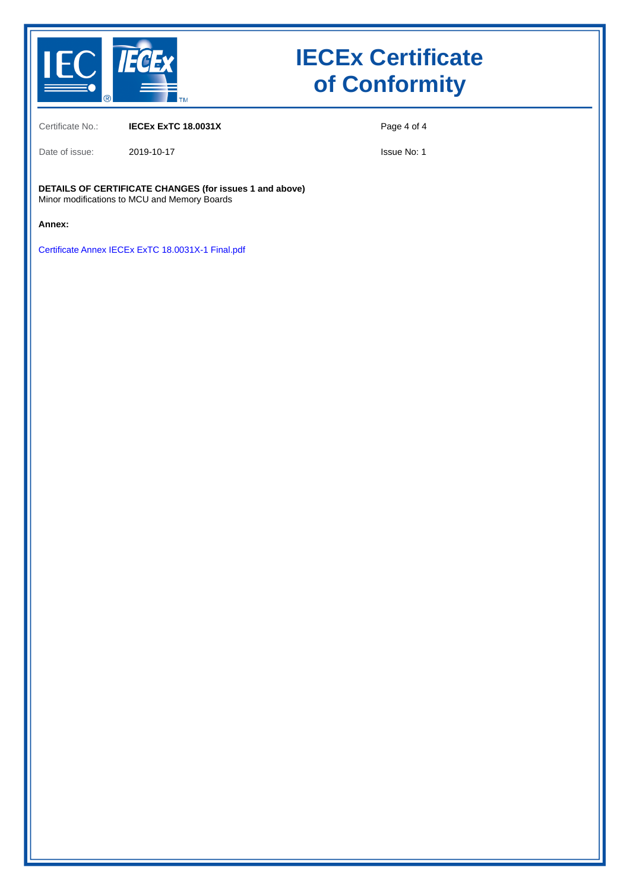

# **IECEx Certificate of Conformity**

Certificate No.: **IECEx ExTC 18.0031X**

Date of issue: 2019-10-17

Page 4 of 4

Issue No: 1

**DETAILS OF CERTIFICATE CHANGES (for issues 1 and above)** Minor modifications to MCU and Memory Boards

**Annex:**

[Certificate Annex IECEx ExTC 18.0031X-1 Final.pdf](https://www.iecex-certs.com/deliverables/CERT/44513/view)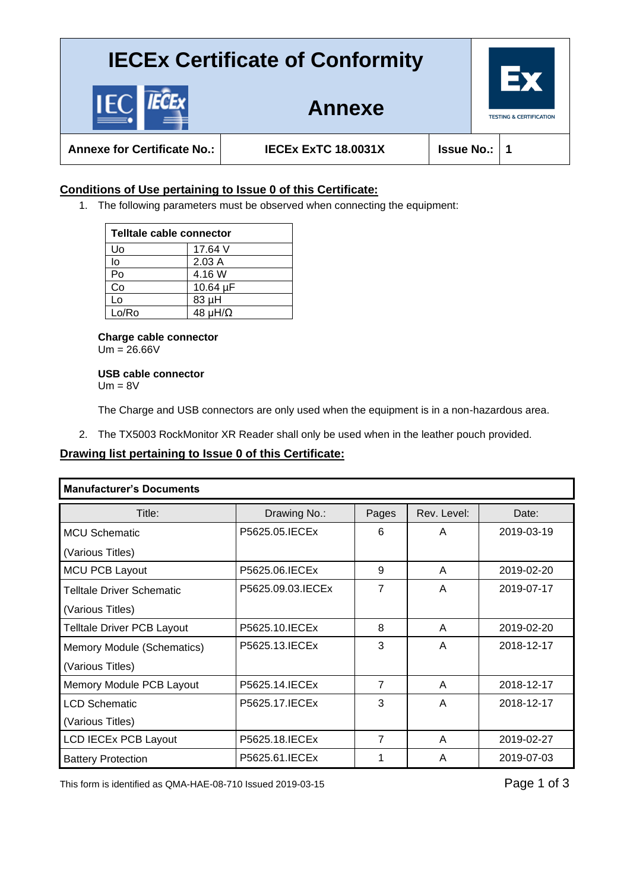### **IECEx Certificate of Conformity**

**TESTING & CERTIFICATION** 

**Annexe**

**Annexe for Certificate No.: IECEx ExTC 18.0031X Issue No.: 1**

### **Conditions of Use pertaining to Issue 0 of this Certificate:**

1. The following parameters must be observed when connecting the equipment:

| Telltale cable connector |                      |  |  |
|--------------------------|----------------------|--|--|
| Uo                       | 17.64 V              |  |  |
| lo                       | 2.03A                |  |  |
| Po                       | 4.16 W               |  |  |
| Co                       | 10.64 µF             |  |  |
| L٥                       | 83 µH                |  |  |
| Lo/Ro                    | 48 $\mu$ H/ $\Omega$ |  |  |

**Charge cable connector**  $Um = 26.66V$ 

**USB cable connector**  $Um = 8V$ 

The Charge and USB connectors are only used when the equipment is in a non-hazardous area.

2. The TX5003 RockMonitor XR Reader shall only be used when in the leather pouch provided.

#### **Drawing list pertaining to Issue 0 of this Certificate:**

| <b>Manufacturer's Documents</b>   |                    |       |             |            |  |
|-----------------------------------|--------------------|-------|-------------|------------|--|
| Title:                            | Drawing No.:       | Pages | Rev. Level: | Date:      |  |
| <b>MCU Schematic</b>              | P5625.05. IECEx    | 6     | A           | 2019-03-19 |  |
| (Various Titles)                  |                    |       |             |            |  |
| MCU PCB Layout                    | P5625.06. IECEx    | 9     | A           | 2019-02-20 |  |
| <b>Telltale Driver Schematic</b>  | P5625.09.03. IECEx | 7     | A           | 2019-07-17 |  |
| (Various Titles)                  |                    |       |             |            |  |
| <b>Telltale Driver PCB Layout</b> | P5625.10. IECEx    | 8     | A           | 2019-02-20 |  |
| Memory Module (Schematics)        | P5625.13. IECEx    | 3     | A           | 2018-12-17 |  |
| (Various Titles)                  |                    |       |             |            |  |
| Memory Module PCB Layout          | P5625.14. IECEX    | 7     | A           | 2018-12-17 |  |
| <b>LCD Schematic</b>              | P5625.17. IECEx    | 3     | A           | 2018-12-17 |  |
| (Various Titles)                  |                    |       |             |            |  |
| <b>LCD IECEx PCB Layout</b>       | P5625.18. IECEx    | 7     | A           | 2019-02-27 |  |
| <b>Battery Protection</b>         | P5625.61. IECEx    | 1     | A           | 2019-07-03 |  |

This form is identified as QMA-HAE-08-710 Issued 2019-03-15 Page 1 of 3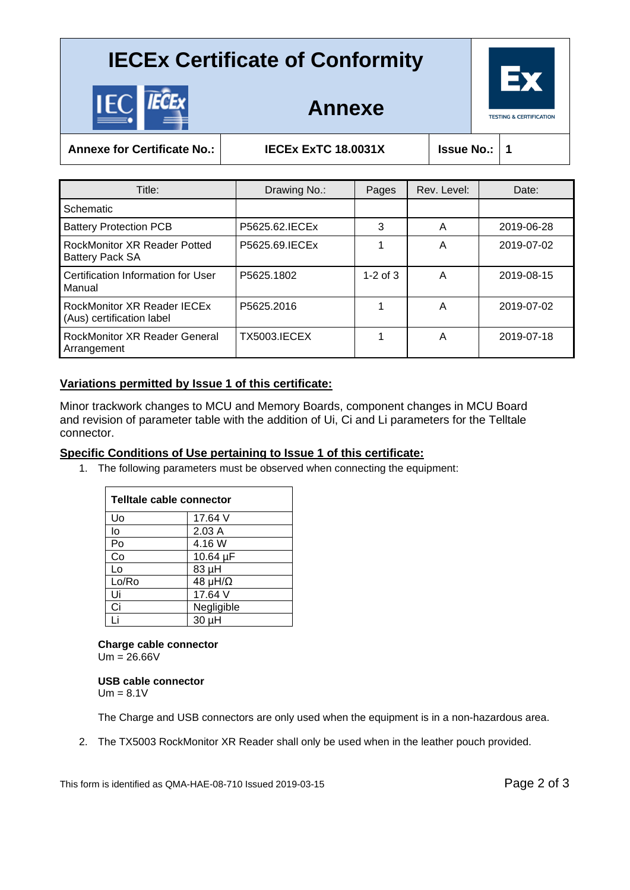### **IECEx Certificate of Conformity**



**Annexe**

**Annexe for Certificate No.: IECEx ExTC 18.0031X Issue No.: 1**

| Title:                                                        | Drawing No.:        | Pages        | Rev. Level: | Date:      |
|---------------------------------------------------------------|---------------------|--------------|-------------|------------|
| Schematic                                                     |                     |              |             |            |
| <b>Battery Protection PCB</b>                                 | P5625.62. IECEx     | 3            | A           | 2019-06-28 |
| <b>RockMonitor XR Reader Potted</b><br><b>Battery Pack SA</b> | P5625.69. IECEx     |              | Α           | 2019-07-02 |
| Certification Information for User<br>Manual                  | P5625.1802          | $1-2$ of $3$ | A           | 2019-08-15 |
| RockMonitor XR Reader IECEx<br>(Aus) certification label      | P5625.2016          |              | A           | 2019-07-02 |
| <b>RockMonitor XR Reader General</b><br>Arrangement           | <b>TX5003.IECEX</b> |              | Α           | 2019-07-18 |

### **Variations permitted by Issue 1 of this certificate:**

Minor trackwork changes to MCU and Memory Boards, component changes in MCU Board and revision of parameter table with the addition of Ui, Ci and Li parameters for the Telltale connector.

#### **Specific Conditions of Use pertaining to Issue 1 of this certificate:**

1. The following parameters must be observed when connecting the equipment:

| Telltale cable connector |                      |  |  |
|--------------------------|----------------------|--|--|
| U٥                       | 17.64 V              |  |  |
| lo                       | 2.03A                |  |  |
| Po                       | 4.16 W               |  |  |
| Co                       | 10.64 µF             |  |  |
| Lo                       | 83 µH                |  |  |
| Lo/Ro                    | 48 $\mu$ H/ $\Omega$ |  |  |
| Ui                       | 17.64 V              |  |  |
| Ci                       | Negligible           |  |  |
|                          | 30 µH                |  |  |

### **Charge cable connector**

 $Um = 26.66V$ 

**USB cable connector**  $Um = 8.1V$ 

The Charge and USB connectors are only used when the equipment is in a non-hazardous area.

2. The TX5003 RockMonitor XR Reader shall only be used when in the leather pouch provided.

This form is identified as QMA-HAE-08-710 Issued 2019-03-15 Page 2 of 3